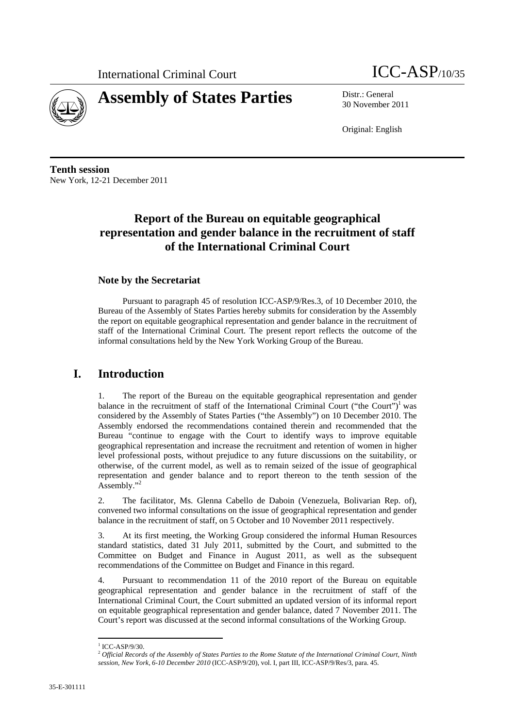



30 November 2011

Original: English

**Tenth session**  New York, 12-21 December 2011

# **Report of the Bureau on equitable geographical representation and gender balance in the recruitment of staff of the International Criminal Court**

#### **Note by the Secretariat**

Pursuant to paragraph 45 of resolution ICC-ASP/9/Res.3, of 10 December 2010, the Bureau of the Assembly of States Parties hereby submits for consideration by the Assembly the report on equitable geographical representation and gender balance in the recruitment of staff of the International Criminal Court. The present report reflects the outcome of the informal consultations held by the New York Working Group of the Bureau.

### **I. Introduction**

1. The report of the Bureau on the equitable geographical representation and gender balance in the recruitment of staff of the International Criminal Court ("the Court")<sup>1</sup> was considered by the Assembly of States Parties ("the Assembly") on 10 December 2010. The Assembly endorsed the recommendations contained therein and recommended that the Bureau "continue to engage with the Court to identify ways to improve equitable geographical representation and increase the recruitment and retention of women in higher level professional posts, without prejudice to any future discussions on the suitability, or otherwise, of the current model, as well as to remain seized of the issue of geographical representation and gender balance and to report thereon to the tenth session of the Assembly."<sup>2</sup>

2. The facilitator, Ms. Glenna Cabello de Daboin (Venezuela, Bolivarian Rep. of), convened two informal consultations on the issue of geographical representation and gender balance in the recruitment of staff, on 5 October and 10 November 2011 respectively.

3. At its first meeting, the Working Group considered the informal Human Resources standard statistics, dated 31 July 2011, submitted by the Court, and submitted to the Committee on Budget and Finance in August 2011, as well as the subsequent recommendations of the Committee on Budget and Finance in this regard.

4. Pursuant to recommendation 11 of the 2010 report of the Bureau on equitable geographical representation and gender balance in the recruitment of staff of the International Criminal Court, the Court submitted an updated version of its informal report on equitable geographical representation and gender balance, dated 7 November 2011. The Court's report was discussed at the second informal consultations of the Working Group.

  $1$  ICC-ASP/9/30.

<sup>2</sup> *Official Records of the Assembly of States Parties to the Rome Statute of the International Criminal Court, Ninth session, New York, 6-10 December 2010* (ICC-ASP/9/20), vol. I, part III, ICC-ASP/9/Res/3, para. 45.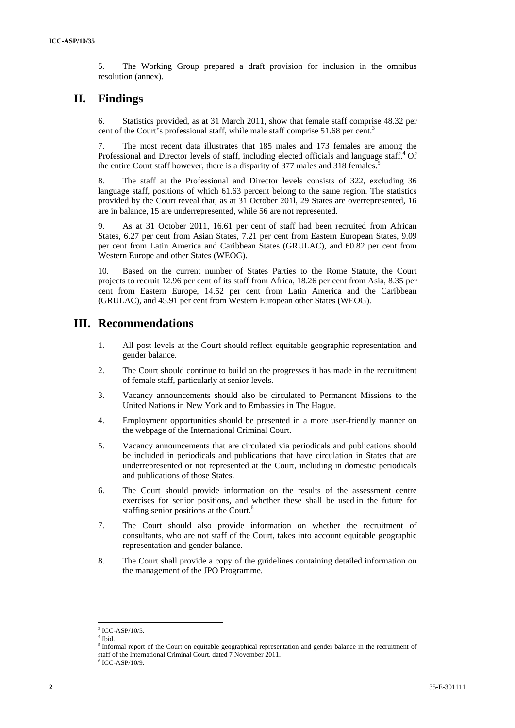5. The Working Group prepared a draft provision for inclusion in the omnibus resolution (annex).

## **II. Findings**

6. Statistics provided, as at 31 March 2011, show that female staff comprise 48.32 per cent of the Court's professional staff, while male staff comprise 51.68 per cent.<sup>3</sup> i.

7. The most recent data illustrates that 185 males and 173 females are among the Professional and Director levels of staff, including elected officials and language staff.<sup>4</sup> Of the entire Court staff however, there is a disparity of 377 males and 318 females.<sup>5</sup>

8. The staff at the Professional and Director levels consists of 322, excluding 36 language staff, positions of which 61.63 percent belong to the same region. The statistics provided by the Court reveal that, as at 31 October 201l, 29 States are overrepresented, 16 are in balance, 15 are underrepresented, while 56 are not represented.

9. As at 31 October 2011, 16.61 per cent of staff had been recruited from African States, 6.27 per cent from Asian States, 7.21 per cent from Eastern European States, 9.09 per cent from Latin America and Caribbean States (GRULAC), and 60.82 per cent from Western Europe and other States (WEOG).

10. Based on the current number of States Parties to the Rome Statute, the Court projects to recruit 12.96 per cent of its staff from Africa, 18.26 per cent from Asia, 8.35 per cent from Eastern Europe, 14.52 per cent from Latin America and the Caribbean (GRULAC), and 45.91 per cent from Western European other States (WEOG).

### **III. Recommendations**

- 1. All post levels at the Court should reflect equitable geographic representation and gender balance.
- 2. The Court should continue to build on the progresses it has made in the recruitment of female staff, particularly at senior levels.
- 3. Vacancy announcements should also be circulated to Permanent Missions to the United Nations in New York and to Embassies in The Hague.
- 4. Employment opportunities should be presented in a more user-friendly manner on the webpage of the International Criminal Court.
- 5. Vacancy announcements that are circulated via periodicals and publications should be included in periodicals and publications that have circulation in States that are underrepresented or not represented at the Court, including in domestic periodicals and publications of those States.
- 6. The Court should provide information on the results of the assessment centre exercises for senior positions, and whether these shall be used in the future for staffing senior positions at the Court.<sup>6</sup>
- 7. The Court should also provide information on whether the recruitment of consultants, who are not staff of the Court, takes into account equitable geographic representation and gender balance.
- 8. The Court shall provide a copy of the guidelines containing detailed information on the management of the JPO Programme.

  $3$  ICC-ASP/10/5.

<sup>4</sup> Ibid.

<sup>&</sup>lt;sup>5</sup> Informal report of the Court on equitable geographical representation and gender balance in the recruitment of staff of the International Criminal Court. dated 7 November 2011.

<sup>6</sup> ICC-ASP/10/9.